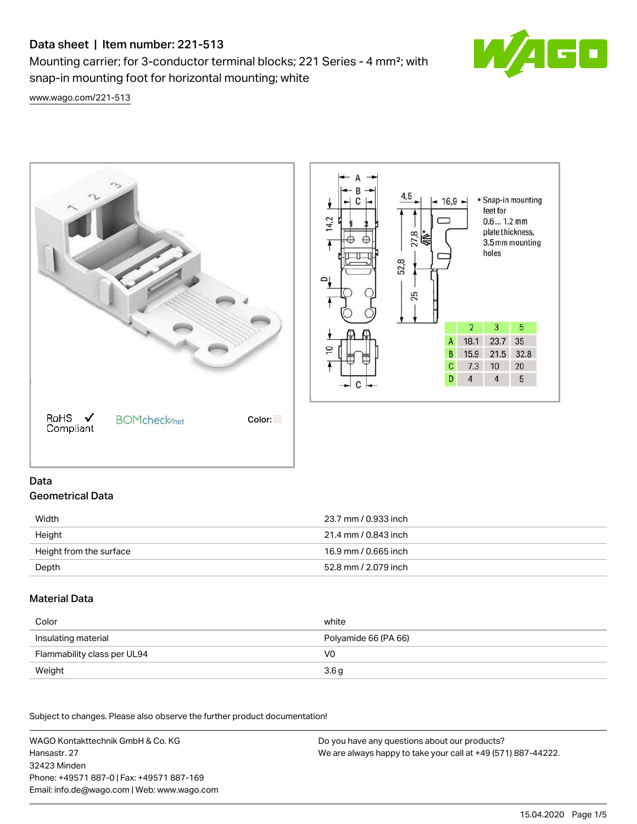# Data sheet | Item number: 221-513

Mounting carrier; for 3-conductor terminal blocks; 221 Series - 4 mm²; with snap-in mounting foot for horizontal mounting; white



[www.wago.com/221-513](http://www.wago.com/221-513)



# Data Geometrical Data

| Width                   | 23.7 mm / 0.933 inch |
|-------------------------|----------------------|
| Height                  | 21.4 mm / 0.843 inch |
| Height from the surface | 16.9 mm / 0.665 inch |
| Depth                   | 52.8 mm / 2.079 inch |

## Material Data

| Color                       | white                |
|-----------------------------|----------------------|
| Insulating material         | Polyamide 66 (PA 66) |
| Flammability class per UL94 | V0                   |
| Weight                      | 3.6 <sub>g</sub>     |

Subject to changes. Please also observe the further product documentation!

WAGO Kontakttechnik GmbH & Co. KG Hansastr. 27 32423 Minden Phone: +49571 887-0 | Fax: +49571 887-169 Email: info.de@wago.com | Web: www.wago.com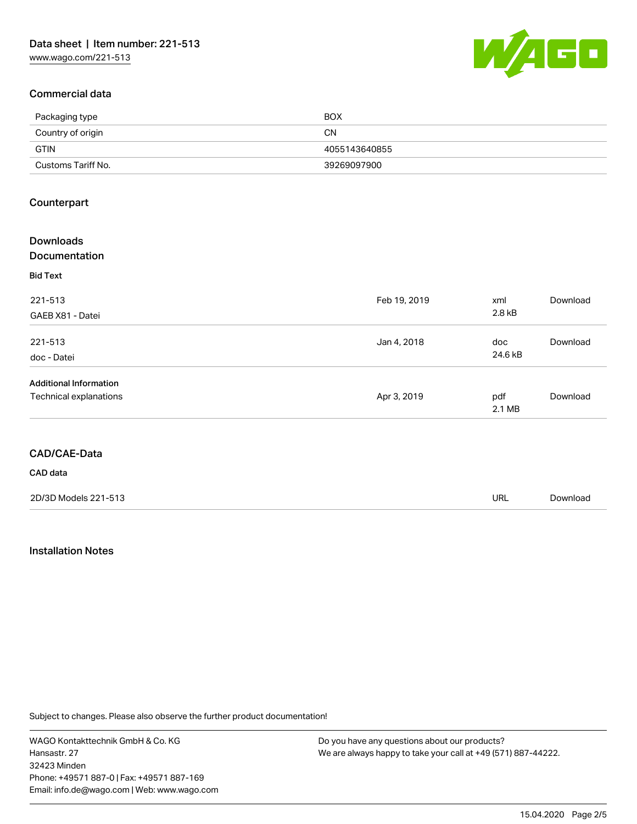

### Commercial data

| Packaging type     | <b>BOX</b>    |
|--------------------|---------------|
| Country of origin  | CΝ            |
| GTIN               | 4055143640855 |
| Customs Tariff No. | 39269097900   |

### **Counterpart**

| <b>Downloads</b><br><b>Documentation</b> |              |               |          |
|------------------------------------------|--------------|---------------|----------|
| <b>Bid Text</b>                          |              |               |          |
| 221-513                                  | Feb 19, 2019 | xml           | Download |
| GAEB X81 - Datei                         |              | 2.8 kB        |          |
| 221-513                                  | Jan 4, 2018  | doc           | Download |
| doc - Datei                              |              | 24.6 kB       |          |
| <b>Additional Information</b>            |              |               |          |
| Technical explanations                   | Apr 3, 2019  | pdf<br>2.1 MB | Download |

### CAD/CAE-Data

CAD data

| 2D/3D Models 221-513 | URL | Download |
|----------------------|-----|----------|
|                      |     |          |

### Installation Notes

Subject to changes. Please also observe the further product documentation!

WAGO Kontakttechnik GmbH & Co. KG Hansastr. 27 32423 Minden Phone: +49571 887-0 | Fax: +49571 887-169 Email: info.de@wago.com | Web: www.wago.com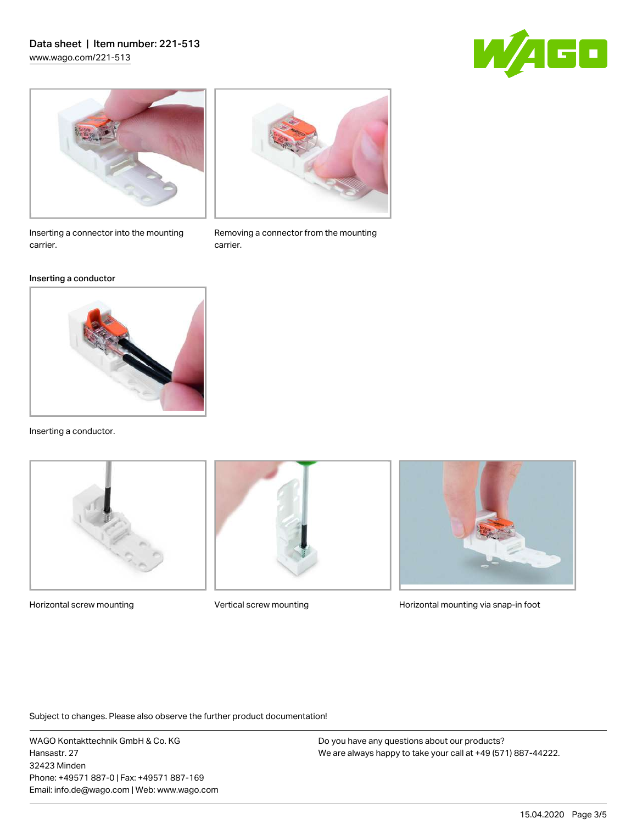## Data sheet | Item number: 221-513 [www.wago.com/221-513](http://www.wago.com/221-513)





Inserting a connector into the mounting carrier.

### Inserting a conductor



Inserting a conductor.





Removing a connector from the mounting

carrier.



Horizontal screw mounting **Vertical screw mounting Community** Horizontal mounting via snap-in foot

Subject to changes. Please also observe the further product documentation!

WAGO Kontakttechnik GmbH & Co. KG Hansastr. 27 32423 Minden Phone: +49571 887-0 | Fax: +49571 887-169 Email: info.de@wago.com | Web: www.wago.com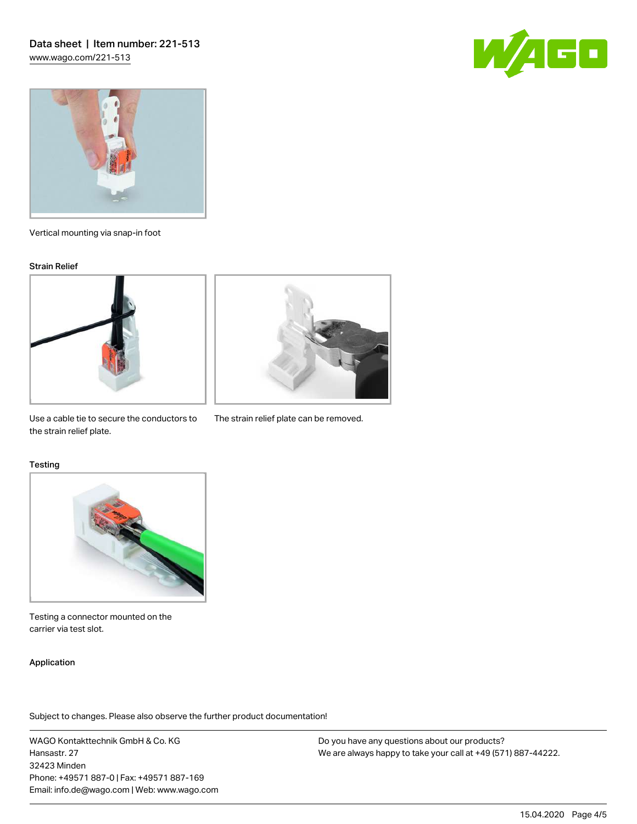



Vertical mounting via snap-in foot

#### Strain Relief





Use a cable tie to secure the conductors to The strain relief plate can be removed. the strain relief plate.

#### **Testing**



Testing a connector mounted on the carrier via test slot.

### Application

Subject to changes. Please also observe the further product documentation!

WAGO Kontakttechnik GmbH & Co. KG Hansastr. 27 32423 Minden Phone: +49571 887-0 | Fax: +49571 887-169 Email: info.de@wago.com | Web: www.wago.com